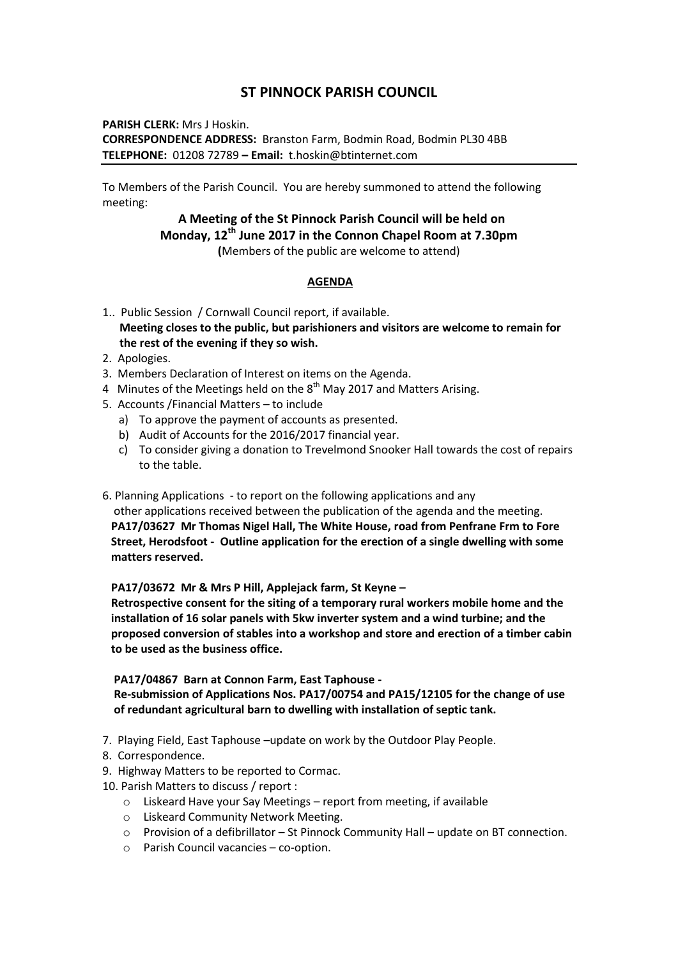## **ST PINNOCK PARISH COUNCIL**

**PARISH CLERK:** Mrs J Hoskin. **CORRESPONDENCE ADDRESS:** Branston Farm, Bodmin Road, Bodmin PL30 4BB **TELEPHONE:** 01208 72789 **– Email:** t.hoskin@btinternet.com

To Members of the Parish Council. You are hereby summoned to attend the following meeting:

> **A Meeting of the St Pinnock Parish Council will be held on Monday, 12th June 2017 in the Connon Chapel Room at 7.30pm (**Members of the public are welcome to attend)

## **AGENDA**

- 1.. Public Session / Cornwall Council report, if available.  **Meeting closes to the public, but parishioners and visitors are welcome to remain for the rest of the evening if they so wish.**
- 2. Apologies.
- 3. Members Declaration of Interest on items on the Agenda.
- 4 Minutes of the Meetings held on the  $8<sup>th</sup>$  May 2017 and Matters Arising.
- 5. Accounts /Financial Matters to include
	- a) To approve the payment of accounts as presented.
	- b) Audit of Accounts for the 2016/2017 financial year.
	- c) To consider giving a donation to Trevelmond Snooker Hall towards the cost of repairs to the table.
- 6. Planning Applications to report on the following applications and any

 other applications received between the publication of the agenda and the meeting. **PA17/03627 Mr Thomas Nigel Hall, The White House, road from Penfrane Frm to Fore Street, Herodsfoot - Outline application for the erection of a single dwelling with some matters reserved.**

## **PA17/03672 Mr & Mrs P Hill, Applejack farm, St Keyne –**

 **Retrospective consent for the siting of a temporary rural workers mobile home and the installation of 16 solar panels with 5kw inverter system and a wind turbine; and the proposed conversion of stables into a workshop and store and erection of a timber cabin to be used as the business office.**

## **PA17/04867 Barn at Connon Farm, East Taphouse -**

 **[Re-submission of Applications Nos. PA17/00754 and](http://planning.cornwall.gov.uk/online-applications/applicationDetails.do?activeTab=summary&keyVal=OQCVU6FG1OU00&prevPage=inTray) PA15/12105 for the change of use  [of redundant agricultural barn to dwelling with installation of septic tank.](http://planning.cornwall.gov.uk/online-applications/applicationDetails.do?activeTab=summary&keyVal=OQCVU6FG1OU00&prevPage=inTray)**

- 7. Playing Field, East Taphouse –update on work by the Outdoor Play People.
- 8. Correspondence.
- 9. Highway Matters to be reported to Cormac.

10. Parish Matters to discuss / report :

- o Liskeard Have your Say Meetings report from meeting, if available
- o Liskeard Community Network Meeting.
- o Provision of a defibrillator St Pinnock Community Hall update on BT connection.
- o Parish Council vacancies co-option.